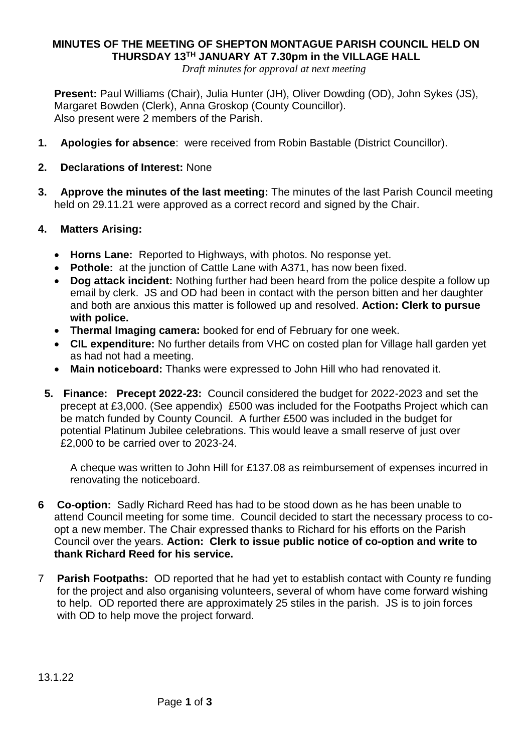## **MINUTES OF THE MEETING OF SHEPTON MONTAGUE PARISH COUNCIL HELD ON THURSDAY 13TH JANUARY AT 7.30pm in the VILLAGE HALL**

*Draft minutes for approval at next meeting*

**Present:** Paul Williams (Chair), Julia Hunter (JH), Oliver Dowding (OD), John Sykes (JS), Margaret Bowden (Clerk), Anna Groskop (County Councillor). Also present were 2 members of the Parish.

- **1. Apologies for absence**: were received from Robin Bastable (District Councillor).
- **2. Declarations of Interest:** None
- **3. Approve the minutes of the last meeting:** The minutes of the last Parish Council meeting held on 29.11.21 were approved as a correct record and signed by the Chair.

## **4. Matters Arising:**

- **Horns Lane:** Reported to Highways, with photos. No response yet.
- **Pothole:** at the junction of Cattle Lane with A371, has now been fixed.
- **Dog attack incident:** Nothing further had been heard from the police despite a follow up email by clerk. JS and OD had been in contact with the person bitten and her daughter and both are anxious this matter is followed up and resolved. **Action: Clerk to pursue with police.**
- **Thermal Imaging camera:** booked for end of February for one week.
- **CIL expenditure:** No further details from VHC on costed plan for Village hall garden yet as had not had a meeting.
- **Main noticeboard:** Thanks were expressed to John Hill who had renovated it.
- **5. Finance: Precept 2022-23:** Council considered the budget for 2022-2023 and set the precept at £3,000. (See appendix) £500 was included for the Footpaths Project which can be match funded by County Council. A further £500 was included in the budget for potential Platinum Jubilee celebrations. This would leave a small reserve of just over £2,000 to be carried over to 2023-24.

A cheque was written to John Hill for £137.08 as reimbursement of expenses incurred in renovating the noticeboard.

- **6 Co-option:** Sadly Richard Reed has had to be stood down as he has been unable to attend Council meeting for some time. Council decided to start the necessary process to coopt a new member. The Chair expressed thanks to Richard for his efforts on the Parish Council over the years. **Action: Clerk to issue public notice of co-option and write to thank Richard Reed for his service.**
- 7 **Parish Footpaths:** OD reported that he had yet to establish contact with County re funding for the project and also organising volunteers, several of whom have come forward wishing to help. OD reported there are approximately 25 stiles in the parish. JS is to join forces with OD to help move the project forward.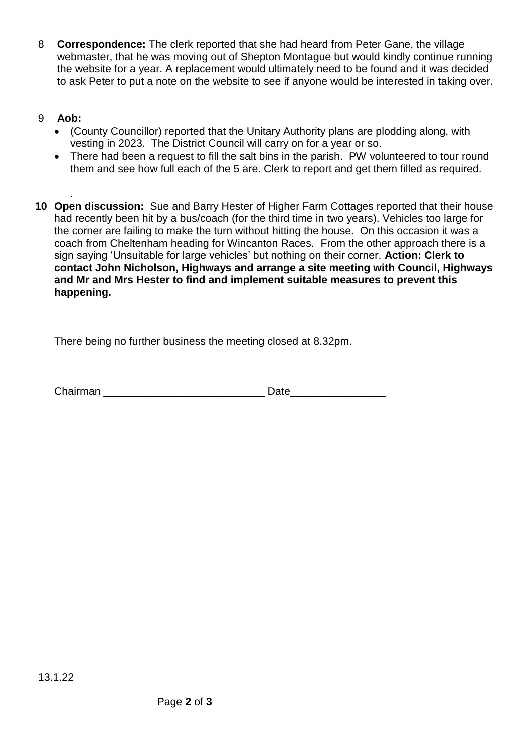- 8 **Correspondence:** The clerk reported that she had heard from Peter Gane, the village webmaster, that he was moving out of Shepton Montague but would kindly continue running the website for a year. A replacement would ultimately need to be found and it was decided to ask Peter to put a note on the website to see if anyone would be interested in taking over.
- 9 **Aob:** 
	- (County Councillor) reported that the Unitary Authority plans are plodding along, with vesting in 2023. The District Council will carry on for a year or so.
	- There had been a request to fill the salt bins in the parish. PW volunteered to tour round them and see how full each of the 5 are. Clerk to report and get them filled as required.
- . **10 Open discussion:** Sue and Barry Hester of Higher Farm Cottages reported that their house had recently been hit by a bus/coach (for the third time in two years). Vehicles too large for the corner are failing to make the turn without hitting the house. On this occasion it was a coach from Cheltenham heading for Wincanton Races. From the other approach there is a sign saying 'Unsuitable for large vehicles' but nothing on their corner. **Action: Clerk to contact John Nicholson, Highways and arrange a site meeting with Council, Highways and Mr and Mrs Hester to find and implement suitable measures to prevent this happening.**

There being no further business the meeting closed at 8.32pm.

Chairman **Date**